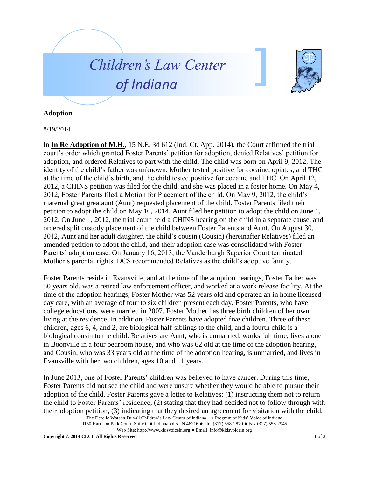



## **Adoption**

## 8/19/2014

In **In Re Adoption of M.H.**, 15 N.E. 3d 612 (Ind. Ct. App. 2014), the Court affirmed the trial court's order which granted Foster Parents' petition for adoption, denied Relatives' petition for adoption, and ordered Relatives to part with the child. The child was born on April 9, 2012. The identity of the child's father was unknown. Mother tested positive for cocaine, opiates, and THC at the time of the child's birth, and the child tested positive for cocaine and THC. On April 12, 2012, a CHINS petition was filed for the child, and she was placed in a foster home. On May 4, 2012, Foster Parents filed a Motion for Placement of the child. On May 9, 2012, the child's maternal great greataunt (Aunt) requested placement of the child. Foster Parents filed their petition to adopt the child on May 10, 2014. Aunt filed her petition to adopt the child on June 1, 2012. On June 1, 2012, the trial court held a CHINS hearing on the child in a separate cause, and ordered split custody placement of the child between Foster Parents and Aunt. On August 30, 2012, Aunt and her adult daughter, the child's cousin (Cousin) (hereinafter Relatives) filed an amended petition to adopt the child, and their adoption case was consolidated with Foster Parents' adoption case. On January 16, 2013, the Vanderburgh Superior Court terminated Mother's parental rights. DCS recommended Relatives as the child's adoptive family.

Foster Parents reside in Evansville, and at the time of the adoption hearings, Foster Father was 50 years old, was a retired law enforcement officer, and worked at a work release facility. At the time of the adoption hearings, Foster Mother was 52 years old and operated an in home licensed day care, with an average of four to six children present each day. Foster Parents, who have college educations, were married in 2007. Foster Mother has three birth children of her own living at the residence. In addition, Foster Parents have adopted five children. Three of these children, ages 6, 4, and 2, are biological half-siblings to the child, and a fourth child is a biological cousin to the child. Relatives are Aunt, who is unmarried, works full time, lives alone in Boonville in a four bedroom house, and who was 62 old at the time of the adoption hearing, and Cousin, who was 33 years old at the time of the adoption hearing, is unmarried, and lives in Evansville with her two children, ages 10 and 11 years.

In June 2013, one of Foster Parents' children was believed to have cancer. During this time, Foster Parents did not see the child and were unsure whether they would be able to pursue their adoption of the child. Foster Parents gave a letter to Relatives: (1) instructing them not to return the child to Foster Parents' residence, (2) stating that they had decided not to follow through with their adoption petition, (3) indicating that they desired an agreement for visitation with the child,

The Derelle Watson-Duvall Children's Law Center of Indiana - A Program of Kids' Voice of Indiana 9150 Harrison Park Court, Suite C · Indianapolis, IN 46216 · Ph: (317) 558-2870 · Fax (317) 558-2945

Web Site: http://www.kidsvoicein.org Email: info@kidsvoicein.org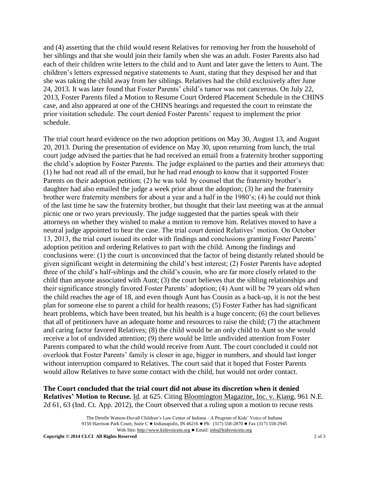and (4) asserting that the child would resent Relatives for removing her from the household of her siblings and that she would join their family when she was an adult. Foster Parents also had each of their children write letters to the child and to Aunt and later gave the letters to Aunt. The children's letters expressed negative statements to Aunt, stating that they despised her and that she was taking the child away from her siblings. Relatives had the child exclusively after June 24, 2013. It was later found that Foster Parents' child's tumor was not cancerous. On July 22, 2013, Foster Parents filed a Motion to Resume Court Ordered Placement Schedule in the CHINS case, and also appeared at one of the CHINS hearings and requested the court to reinstate the prior visitation schedule. The court denied Foster Parents' request to implement the prior schedule.

The trial court heard evidence on the two adoption petitions on May 30, August 13, and August 20, 2013. During the presentation of evidence on May 30, upon returning from lunch, the trial court judge advised the parties that he had received an email from a fraternity brother supporting the child's adoption by Foster Parents. The judge explained to the parties and their attorneys that: (1) he had not read all of the email, but he had read enough to know that it supported Foster Parents on their adoption petition; (2) he was told by counsel that the fraternity brother's daughter had also emailed the judge a week prior about the adoption; (3) he and the fraternity brother were fraternity members for about a year and a half in the 1980's; (4) he could not think of the last time he saw the fraternity brother, but thought that their last meeting was at the annual picnic one or two years previously. The judge suggested that the parties speak with their attorneys on whether they wished to make a motion to remove him. Relatives moved to have a neutral judge appointed to hear the case. The trial court denied Relatives' motion. On October 13, 2013, the trial court issued its order with findings and conclusions granting Foster Parents' adoption petition and ordering Relatives to part with the child. Among the findings and conclusions were: (1) the court is unconvinced that the factor of being distantly related should be given significant weight in determining the child's best interest; (2) Foster Parents have adopted three of the child's half-siblings and the child's cousin, who are far more closely related to the child than anyone associated with Aunt; (3) the court believes that the sibling relationships and their significance strongly favored Foster Parents' adoption; (4) Aunt will be 79 years old when the child reaches the age of 18, and even though Aunt has Cousin as a back-up, it is not the best plan for someone else to parent a child for health reasons; (5) Foster Father has had significant heart problems, which have been treated, but his health is a huge concern; (6) the court believes that all of petitioners have an adequate home and resources to raise the child; (7) the attachment and caring factor favored Relatives; (8) the child would be an only child to Aunt so she would receive a lot of undivided attention; (9) there would be little undivided attention from Foster Parents compared to what the child would receive from Aunt. The court concluded it could not overlook that Foster Parents' family is closer in age, bigger in numbers, and should last longer without interruption compared to Relatives. The court said that it hoped that Foster Parents would allow Relatives to have some contact with the child, but would not order contact.

**The Court concluded that the trial court did not abuse its discretion when it denied Relatives' Motion to Recuse.** Id. at 625. Citing Bloomington Magazine, Inc. v. Kiang, 961 N.E. 2d 61, 63 (Ind. Ct. App. 2012), the Court observed that a ruling upon a motion to recuse rests

> The Derelle Watson-Duvall Children's Law Center of Indiana - A Program of Kids' Voice of Indiana 9150 Harrison Park Court, Suite C · Indianapolis, IN 46216 · Ph: (317) 558-2870 · Fax (317) 558-2945 Web Site: http://www.kidsvoicein.org Email: info@kidsvoicein.org

**Copyright © 2014 CLCI All Rights Reserved** 2 of 3